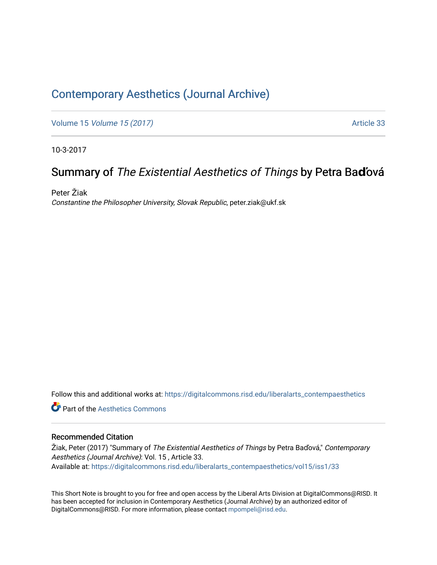### [Contemporary Aesthetics \(Journal Archive\)](https://digitalcommons.risd.edu/liberalarts_contempaesthetics)

Volume 15 [Volume 15 \(2017\)](https://digitalcommons.risd.edu/liberalarts_contempaesthetics/vol15) **Article 33** 

10-3-2017

## Summary of The Existential Aesthetics of Things by Petra Ba**ď**ová

Peter Žiak Constantine the Philosopher University, Slovak Republic, peter.ziak@ukf.sk

Follow this and additional works at: [https://digitalcommons.risd.edu/liberalarts\\_contempaesthetics](https://digitalcommons.risd.edu/liberalarts_contempaesthetics?utm_source=digitalcommons.risd.edu%2Fliberalarts_contempaesthetics%2Fvol15%2Fiss1%2F33&utm_medium=PDF&utm_campaign=PDFCoverPages) 

**C** Part of the Aesthetics Commons

#### Recommended Citation

Žiak, Peter (2017) "Summary of The Existential Aesthetics of Things by Petra Baďová," Contemporary Aesthetics (Journal Archive): Vol. 15 , Article 33. Available at: [https://digitalcommons.risd.edu/liberalarts\\_contempaesthetics/vol15/iss1/33](https://digitalcommons.risd.edu/liberalarts_contempaesthetics/vol15/iss1/33?utm_source=digitalcommons.risd.edu%2Fliberalarts_contempaesthetics%2Fvol15%2Fiss1%2F33&utm_medium=PDF&utm_campaign=PDFCoverPages)

This Short Note is brought to you for free and open access by the Liberal Arts Division at DigitalCommons@RISD. It has been accepted for inclusion in Contemporary Aesthetics (Journal Archive) by an authorized editor of DigitalCommons@RISD. For more information, please contact [mpompeli@risd.edu](mailto:mpompeli@risd.edu).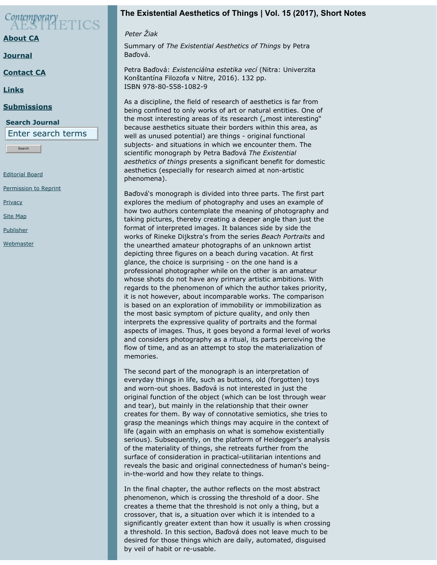# Contemporary<br>AESTHETICS

#### **[About CA](https://contempaesthetics.org/pages/about.html)**

**[Journal](https://contempaesthetics.org/newvolume/pages/journal.php)**

**[Contact CA](https://contempaesthetics.org/pages/contact.html)**

**[Links](https://contempaesthetics.org/pages/links.html)**

#### **[Submissions](https://contempaesthetics.org/pages/guidelines.html)**

#### **Search Journal**

Enter search terms

Search

[Editorial Board](https://contempaesthetics.org/pages/editorialboard.html)

[Permission to Reprint](https://contempaesthetics.org/pages/reprint.html)

**[Privacy](https://contempaesthetics.org/pages/privacy.html)** 

[Site Map](https://contempaesthetics.org/pages/sitemap.html)

[Publisher](https://contempaesthetics.org/pages/publisher.html)

**[Webmaster](mailto:webmaster@contempaesthetics.org)** 

#### **The Existential Aesthetics of Things | Vol. 15 (2017), Short Notes**

 *Peter Žiak*

Summary of *The Existential Aesthetics of Things* by Petra Baďová.

Petra Baďová: *Existenciálna estetika vecí* (Nitra: Univerzita Konštantína Filozofa v Nitre, 2016). 132 pp. ISBN 978-80-558-1082-9

As a discipline, the field of research of aesthetics is far from being confined to only works of art or natural entities. One of the most interesting areas of its research ("most interesting" because aesthetics situate their borders within this area, as well as unused potential) are things - original functional subjects- and situations in which we encounter them. The scientific monograph by Petra Baďová *The Existential aesthetics of things* presents a significant benefit for domestic aesthetics (especially for research aimed at non-artistic phenomena).

Baďová's monograph is divided into three parts. The first part explores the medium of photography and uses an example of how two authors contemplate the meaning of photography and taking pictures, thereby creating a deeper angle than just the format of interpreted images. It balances side by side the works of Rineke Dijkstra's from the series *Beach Portraits* and the unearthed amateur photographs of an unknown artist depicting three figures on a beach during vacation. At first glance, the choice is surprising - on the one hand is a professional photographer while on the other is an amateur whose shots do not have any primary artistic ambitions. With regards to the phenomenon of which the author takes priority, it is not however, about incomparable works. The comparison is based on an exploration of immobility or immobilization as the most basic symptom of picture quality, and only then interprets the expressive quality of portraits and the formal aspects of images. Thus, it goes beyond a formal level of works and considers photography as a ritual, its parts perceiving the flow of time, and as an attempt to stop the materialization of memories.

The second part of the monograph is an interpretation of everyday things in life, such as buttons, old (forgotten) toys and worn-out shoes. Baďová is not interested in just the original function of the object (which can be lost through wear and tear), but mainly in the relationship that their owner creates for them. By way of connotative semiotics, she tries to grasp the meanings which things may acquire in the context of life (again with an emphasis on what is somehow existentially serious). Subsequently, on the platform of Heidegger's analysis of the materiality of things, she retreats further from the surface of consideration in practical-utilitarian intentions and reveals the basic and original connectedness of human's beingin-the-world and how they relate to things.

In the final chapter, the author reflects on the most abstract phenomenon, which is crossing the threshold of a door. She creates a theme that the threshold is not only a thing, but a crossover, that is, a situation over which it is intended to a significantly greater extent than how it usually is when crossing a threshold. In this section, Baďová does not leave much to be desired for those things which are daily, automated, disguised by veil of habit or re-usable.